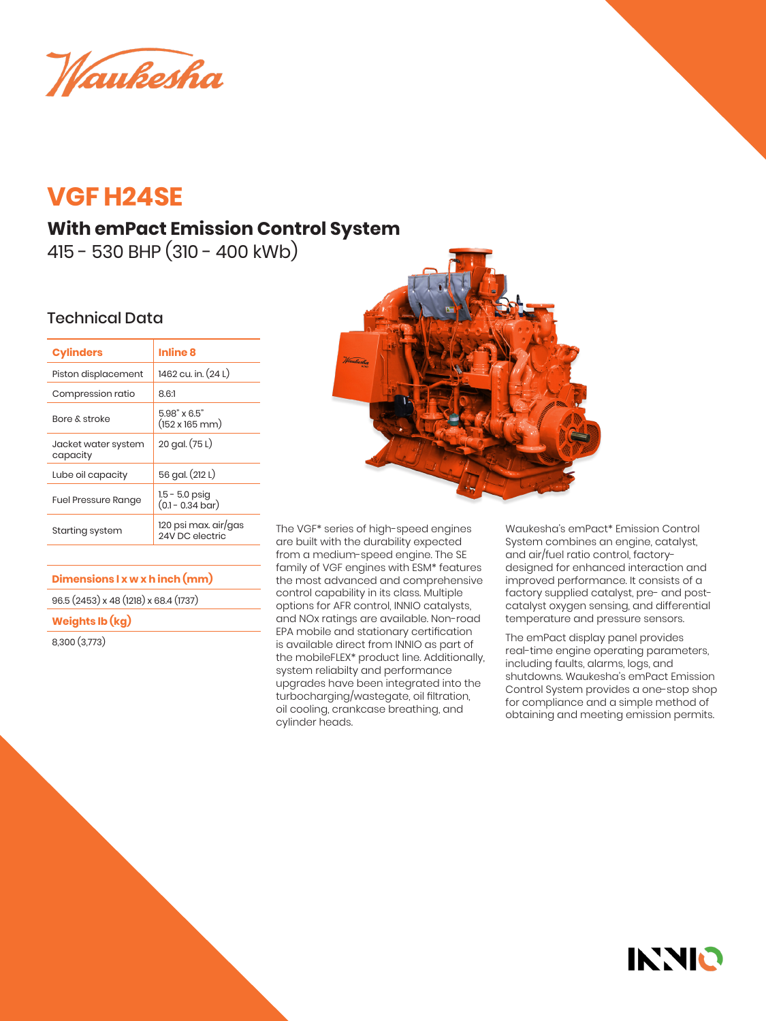Waukesha

# **VGF H24SE**

# **With emPact Emission Control System**

415 - 530 BHP (310 - 400 kWb)

## Technical Data

| <b>Cylinders</b>                | Inline 8                                             |
|---------------------------------|------------------------------------------------------|
| Piston displacement             | 1462 cu. in. (24 L)                                  |
| Compression ratio               | 8.6:1                                                |
| Bore & stroke                   | $5.98" \times 6.5"$<br>$(152 \times 165 \text{ mm})$ |
| Jacket water system<br>capacity | 20 gal. (75 L)                                       |
| Lube oil capacity               | 56 gal. (212 L)                                      |
| <b>Fuel Pressure Range</b>      | $1.5 - 5.0$ psig<br>$(0.1 - 0.34 \text{ bar})$       |
| Starting system                 | 120 psi max. air/gas<br>24V DC electric              |
|                                 |                                                      |

### **Dimensions l x w x h inch (mm)**

96.5 (2453) x 48 (1218) x 68.4 (1737)

#### **Weights lb (kg)**

8,300 (3,773)



The VGF\* series of high-speed engines are built with the durability expected from a medium-speed engine. The SE family of VGF engines with ESM\* features the most advanced and comprehensive control capability in its class. Multiple options for AFR control, INNIO catalysts, and NOx ratings are available. Non-road EPA mobile and stationary certification is available direct from INNIO as part of the mobileFLEX\* product line. Additionally, system reliabilty and performance upgrades have been integrated into the turbocharging/wastegate, oil filtration, oil cooling, crankcase breathing, and cylinder heads.

Waukesha's emPact\* Emission Control System combines an engine, catalyst, and air/fuel ratio control, factorydesigned for enhanced interaction and improved performance. It consists of a factory supplied catalyst, pre- and postcatalyst oxygen sensing, and differential temperature and pressure sensors.

The emPact display panel provides real-time engine operating parameters, including faults, alarms, logs, and shutdowns. Waukesha's emPact Emission Control System provides a one-stop shop for compliance and a simple method of obtaining and meeting emission permits.